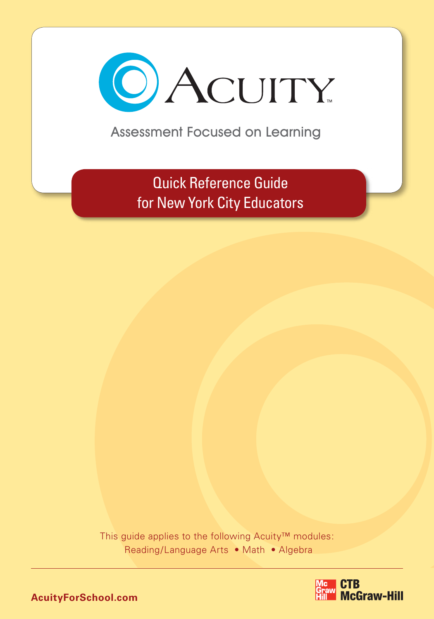

Assessment Focused on Learning

Quick Reference Guide for New York City Educators

This guide applies to the following Acuity™ modules: Reading/Language Arts • Math • Algebra

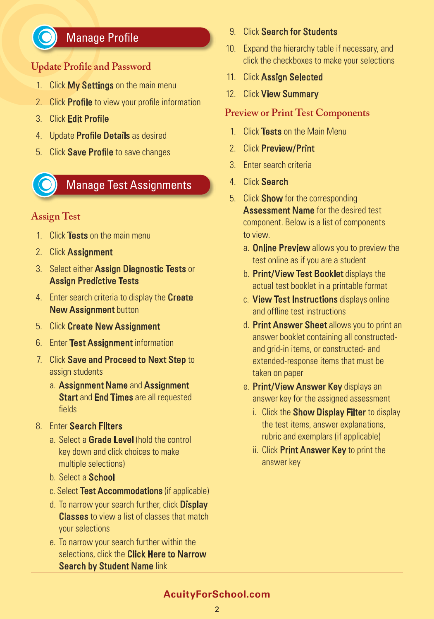

# Manage Profile

### **Update Profile and Password**

- 1. Click My Settings on the main menu
- 2. Click **Profile** to view your profile information
- 3. Click Edit Profile
- 4. Update **Profile Details** as desired
- 5. Click Save Profile to save changes



## Manage Test Assignments

#### **Assign Test**

- 1. Click Tests on the main menu
- 2. Click Assignment
- 3. Select either Assign Diagnostic Tests or Assign Predictive Tests
- 4. Enter search criteria to display the **Create** New Assignment button
- 5. Click Create New Assignment
- 6. Enter Test Assignment information
- 7. Click Save and Proceed to Next Step to assign students
	- a. Assignment Name and Assignment **Start and End Times are all requested** fields
- 8. Enter Search Filters
	- a. Select a Grade Level (hold the control key down and click choices to make multiple selections)
	- b. Select a School
	- c. Select Test Accommodations (if applicable)
	- d. To narrow your search further, click **Display Classes** to view a list of classes that match your selections
	- e. To narrow your search further within the selections, click the **Click Here to Narrow** Search by Student Name link
- 9. Click Search for Students
- 10. Expand the hierarchy table if necessary, and click the checkboxes to make your selections
- 11. Click Assign Selected
- 12. Click View Summary

#### **Preview or Print Test Components**

- 1. Click Tests on the Main Menu
- 2. Click Preview/Print
- 3. Enter search criteria
- 4. Click Search
- 5. Click **Show** for the corresponding **Assessment Name** for the desired test component. Below is a list of components to view.
	- a. **Online Preview** allows you to preview the test online as if you are a student
	- b. Print/View Test Booklet displays the actual test booklet in a printable format
	- c. View Test Instructions displays online and offline test instructions
	- d. Print Answer Sheet allows you to print an answer booklet containing all constructedand grid-in items, or constructed- and extended-response items that must be taken on paper
	- e. Print/View Answer Key displays an answer key for the assigned assessment
		- i. Click the **Show Display Filter** to display the test items, answer explanations, rubric and exemplars (if applicable)
		- ii. Click Print Answer Key to print the answer key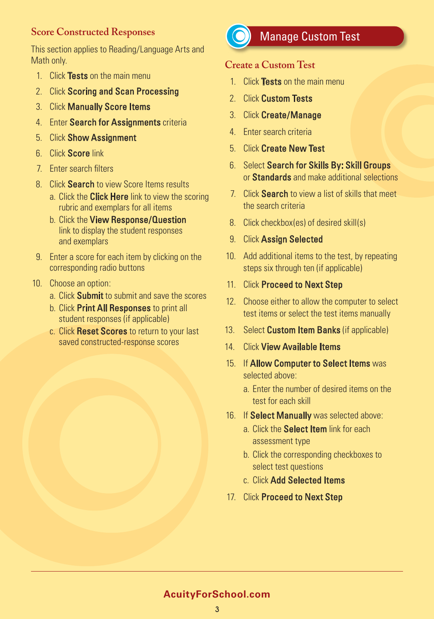#### **Score Constructed Responses**

This section applies to Reading/Language Arts and Math only.

- 1. Click Tests on the main menu
- 2. Click Scoring and Scan Processing
- 3. Click Manually Score Items
- 4. Enter Search for Assignments criteria
- 5. Click Show Assignment
- 6. Click Score link
- 7. Enter search filters
- 8. Click **Search** to view Score Items results
	- a. Click the **Click Here** link to view the scoring rubric and exemplars for all items
	- b. Click the View Response/Question link to display the student responses and exemplars
- 9. Enter a score for each item by clicking on the corresponding radio buttons
- 10. Choose an option:
	- a. Click Submit to submit and save the scores
	- b. Click Print All Responses to print all student responses (if applicable)
	- c. Click Reset Scores to return to your last saved constructed-response scores



# Manage Custom Test

## **Create a Custom Test**

- 1. Click Tests on the main menu
- 2. Click Custom Tests
- 3. Click Create/Manage
- 4. Enter search criteria
- 5. Click Create New Test
- 6. Select Search for Skills By: Skill Groups or Standards and make additional selections
- 7. Click **Search** to view a list of skills that meet the search criteria
- 8. Click checkbox(es) of desired skill(s)
- 9. Click Assign Selected
- 10. Add additional items to the test, by repeating steps six through ten (if applicable)
- 11. Click Proceed to Next Step
- 12. Choose either to allow the computer to select test items or select the test items manually
- 13. Select Custom Item Banks (if applicable)
- 14. Click **View Available Items**
- 15. If Allow Computer to Select Items was selected above:
	- a. Enter the number of desired items on the test for each skill
- 16. If Select Manually was selected above:
	- a. Click the **Select Item** link for each assessment type
	- b. Click the corresponding checkboxes to select test questions
	- c. Click Add Selected Items
- 17. Click Proceed to Next Step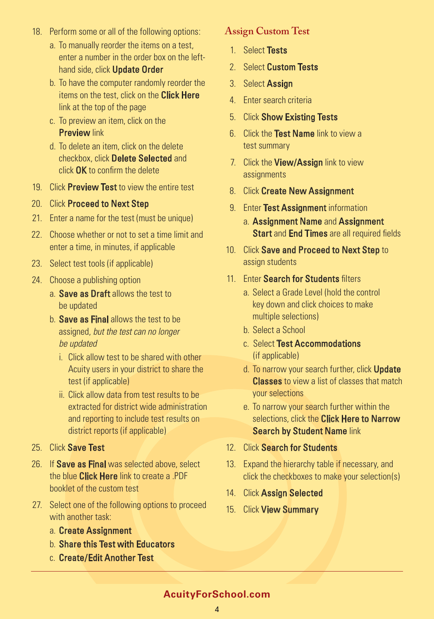- 18. Perform some or all of the following options:
	- a. To manually reorder the items on a test, enter a number in the order box on the lefthand side, click **Update Order**
	- b. To have the computer randomly reorder the items on the test, click on the **Click Here** link at the top of the page
	- c. To preview an item, click on the **Preview link**
	- d. To delete an item, click on the delete checkbox, click Delete Selected and click OK to confirm the delete
- 19. Click **Preview Test** to view the entire test
- 20. Click Proceed to Next Step
- 21. Enter a name for the test (must be unique)
- 22. Choose whether or not to set a time limit and enter a time, in minutes, if applicable
- 23. Select test tools (if applicable)
- 24. Choose a publishing option
	- a. Save as Draft allows the test to be updated
	- b. Save as Final allows the test to be assigned, but the test can no longer be updated
		- i. Click allow test to be shared with other Acuity users in your district to share the test (if applicable)
		- ii. Click allow data from test results to be extracted for district wide administration and reporting to include test results on district reports (if applicable)
- 25. Click Save Test
- 26. If Save as Final was selected above, select the blue **Click Here** link to create a .PDF booklet of the custom test
- 27. Select one of the following options to proceed with another task:
	- a. Create Assignment
	- b. Share this Test with Educators
	- c. Create/Edit Another Test

#### **Assign Custom Test**

- 1. Select Tests
- 2. Select Custom Tests
- 3. Select Assign
- 4. Enter search criteria
- 5. Click Show Existing Tests
- 6. Click the Test Name link to view a test summary
- 7. Click the View/Assign link to view assignments
- 8. Click Create New Assignment
- 9. Enter Test Assignment information
	- a. Assignment Name and Assignment **Start and End Times are all required fields**
- 10. Click Save and Proceed to Next Step to assign students
- 11. Enter Search for Students filters
	- a. Select a Grade Level (hold the control key down and click choices to make multiple selections)
	- b. Select a School
	- c. Select Test Accommodations (if applicable)
	- d. To narrow your search further, click **Update Classes** to view a list of classes that match your selections
	- e. To narrow your search further within the selections, click the **Click Here to Narrow** Search by Student Name link
- 12. Click Search for Students
- 13. Expand the hierarchy table if necessary, and click the checkboxes to make your selection(s)
- 14. Click Assign Selected
- 15. Click View Summary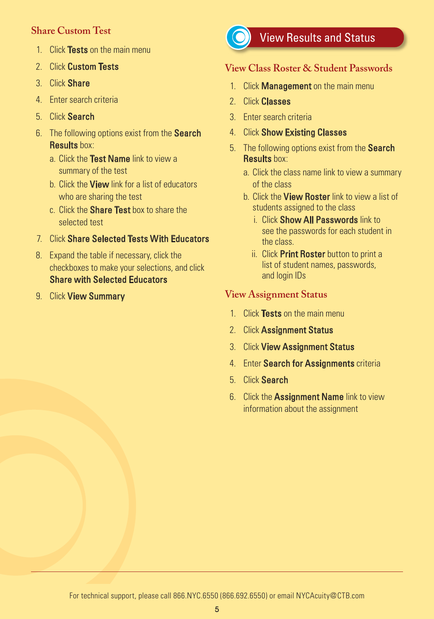### **Share Custom Test**

- 1. Click Tests on the main menu
- 2. Click Custom Tests
- 3. Click Share
- 4. Enter search criteria
- 5. Click Search
- 6. The following options exist from the **Search** Results hox:
	- a. Click the Test Name link to view a summary of the test
	- b. Click the **View** link for a list of educators who are sharing the test
	- c. Click the **Share Test** box to share the selected test
- 7. Click Share Selected Tests With Educators
- 8. Expand the table if necessary, click the checkboxes to make your selections, and click Share with Selected Educators
- 9. Click View Summary



# View Results and Status

### **View Class Roster & Student Passwords**

- 1. Click **Management** on the main menu
- 2. Click Classes
- 3. Enter search criteria
- 4. Click Show Existing Classes
- 5. The following options exist from the **Search** Results box:
	- a. Click the class name link to view a summary of the class
	- b. Click the **View Roster** link to view a list of students assigned to the class
		- i. Click **Show All Passwords** link to see the passwords for each student in the class.
		- ii. Click Print Roster button to print a list of student names, passwords, and login IDs

## **View Assignment Status**

- 1. Click Tests on the main menu
- 2. Click Assignment Status
- 3. Click View Assignment Status
- 4. Enter Search for Assignments criteria
- 5. Click Search
- 6. Click the **Assignment Name** link to view information about the assignment